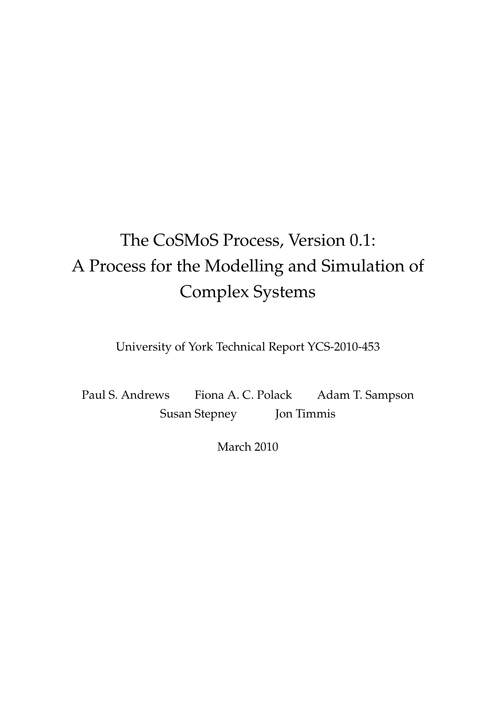# The CoSMoS Process, Version 0.1: A Process for the Modelling and Simulation of Complex Systems

University of York Technical Report YCS-2010-453

Paul S. Andrews Fiona A. C. Polack Adam T. Sampson Susan Stepney Jon Timmis

March 2010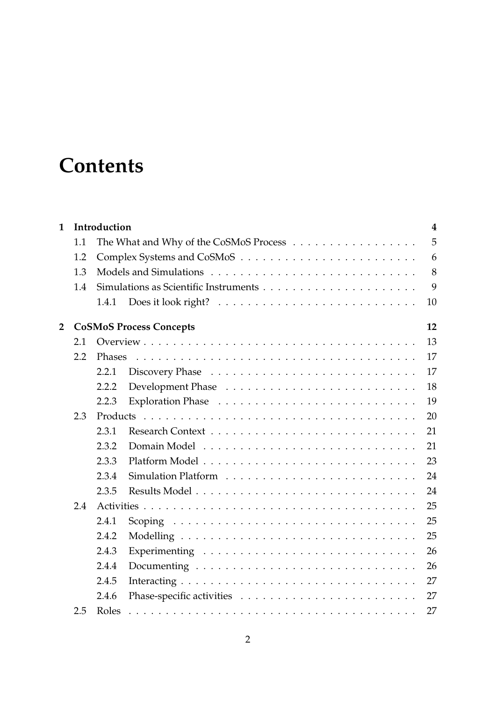# **Contents**

| $\mathbf{1}$   | Introduction<br>$\overline{\mathbf{4}}$ |        |                                        |    |  |  |  |  |
|----------------|-----------------------------------------|--------|----------------------------------------|----|--|--|--|--|
|                | 1.1                                     |        | The What and Why of the CoSMoS Process | 5  |  |  |  |  |
|                | 1.2                                     |        |                                        | 6  |  |  |  |  |
|                | 1.3                                     |        | 8                                      |    |  |  |  |  |
|                | 1.4                                     |        |                                        | 9  |  |  |  |  |
|                |                                         | 1.4.1  |                                        | 10 |  |  |  |  |
| $\overline{2}$ | <b>CoSMoS Process Concepts</b><br>12    |        |                                        |    |  |  |  |  |
|                | 2.1                                     |        |                                        | 13 |  |  |  |  |
|                | 2.2                                     | Phases |                                        | 17 |  |  |  |  |
|                |                                         | 2.2.1  |                                        | 17 |  |  |  |  |
|                |                                         | 2.2.2  |                                        | 18 |  |  |  |  |
|                |                                         | 2.2.3  |                                        | 19 |  |  |  |  |
|                | 2.3                                     |        |                                        | 20 |  |  |  |  |
|                |                                         | 2.3.1  |                                        | 21 |  |  |  |  |
|                |                                         | 2.3.2  |                                        | 21 |  |  |  |  |
|                |                                         | 2.3.3  |                                        | 23 |  |  |  |  |
|                |                                         | 2.3.4  |                                        | 24 |  |  |  |  |
|                |                                         | 2.3.5  |                                        | 24 |  |  |  |  |
|                | 2.4                                     |        |                                        | 25 |  |  |  |  |
|                |                                         | 2.4.1  |                                        | 25 |  |  |  |  |
|                |                                         | 2.4.2  |                                        | 25 |  |  |  |  |
|                |                                         | 2.4.3  |                                        | 26 |  |  |  |  |
|                |                                         | 2.4.4  |                                        | 26 |  |  |  |  |
|                |                                         | 2.4.5  |                                        | 27 |  |  |  |  |
|                |                                         | 2.4.6  |                                        | 27 |  |  |  |  |
|                | 2.5                                     | Roles  |                                        | 27 |  |  |  |  |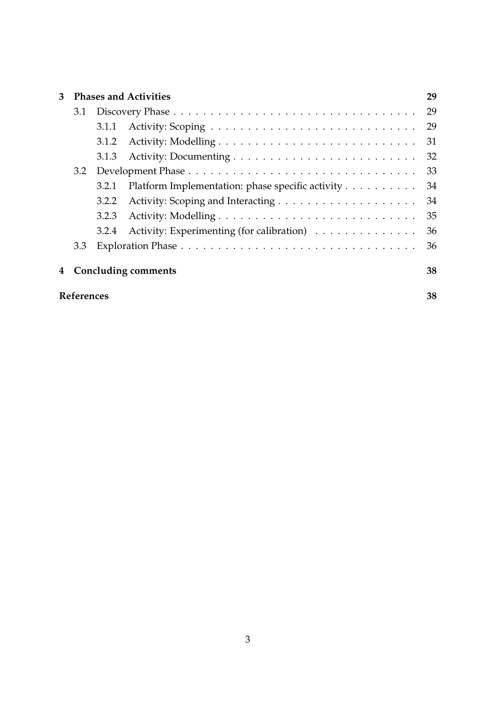| 3 | <b>Phases and Activities</b> |       |                                                  |    |  |  |  |
|---|------------------------------|-------|--------------------------------------------------|----|--|--|--|
|   | 3.1                          |       |                                                  |    |  |  |  |
|   |                              | 3.1.1 |                                                  | 29 |  |  |  |
|   |                              | 3.1.2 |                                                  | 31 |  |  |  |
|   |                              | 3.1.3 |                                                  | 32 |  |  |  |
|   |                              |       |                                                  | 33 |  |  |  |
|   |                              | 3.2.1 | Platform Implementation: phase specific activity | 34 |  |  |  |
|   |                              | 3.2.2 |                                                  | 34 |  |  |  |
|   |                              | 3.2.3 |                                                  | 35 |  |  |  |
|   |                              | 3.2.4 | Activity: Experimenting (for calibration)        | 36 |  |  |  |
|   | 3.3                          |       |                                                  | 36 |  |  |  |
| 4 | <b>Concluding comments</b>   |       |                                                  |    |  |  |  |
|   | <b>References</b>            |       |                                                  |    |  |  |  |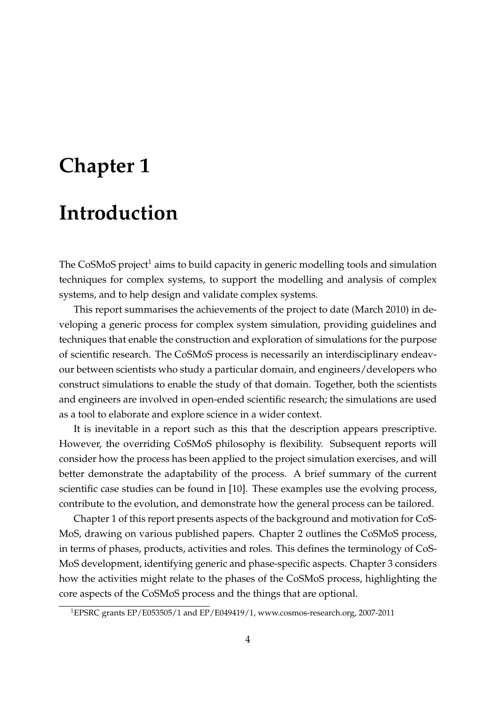# **Chapter 1**

# **Introduction**

The CoSMoS project<sup>1</sup> aims to build capacity in generic modelling tools and simulation techniques for complex systems, to support the modelling and analysis of complex systems, and to help design and validate complex systems.

This report summarises the achievements of the project to date (March 2010) in developing a generic process for complex system simulation, providing guidelines and techniques that enable the construction and exploration of simulations for the purpose of scientific research. The CoSMoS process is necessarily an interdisciplinary endeavour between scientists who study a particular domain, and engineers/developers who construct simulations to enable the study of that domain. Together, both the scientists and engineers are involved in open-ended scientific research; the simulations are used as a tool to elaborate and explore science in a wider context.

It is inevitable in a report such as this that the description appears prescriptive. However, the overriding CoSMoS philosophy is flexibility. Subsequent reports will consider how the process has been applied to the project simulation exercises, and will better demonstrate the adaptability of the process. A brief summary of the current scientific case studies can be found in [10]. These examples use the evolving process, contribute to the evolution, and demonstrate how the general process can be tailored.

Chapter 1 of this report presents aspects of the background and motivation for CoS-MoS, drawing on various published papers. Chapter 2 outlines the CoSMoS process, in terms of phases, products, activities and roles. This defines the terminology of CoS-MoS development, identifying generic and phase-specific aspects. Chapter 3 considers how the activities might relate to the phases of the CoSMoS process, highlighting the core aspects of the CoSMoS process and the things that are optional.

<sup>1</sup>EPSRC grants EP/E053505/1 and EP/E049419/1, www.cosmos-research.org, 2007-2011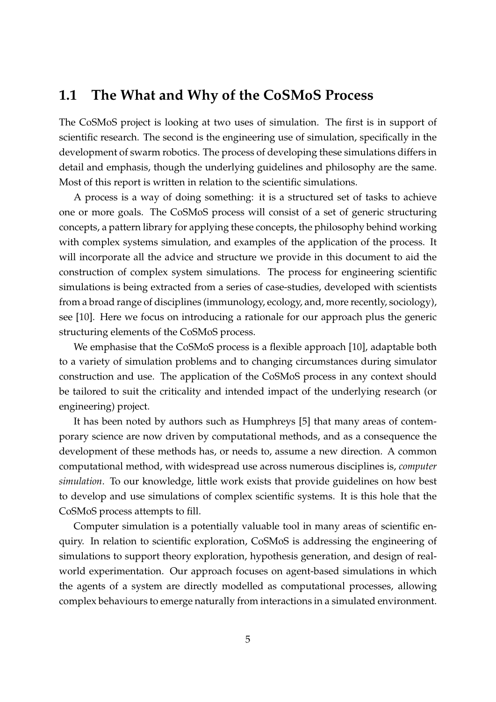### **1.1 The What and Why of the CoSMoS Process**

The CoSMoS project is looking at two uses of simulation. The first is in support of scientific research. The second is the engineering use of simulation, specifically in the development of swarm robotics. The process of developing these simulations differs in detail and emphasis, though the underlying guidelines and philosophy are the same. Most of this report is written in relation to the scientific simulations.

A process is a way of doing something: it is a structured set of tasks to achieve one or more goals. The CoSMoS process will consist of a set of generic structuring concepts, a pattern library for applying these concepts, the philosophy behind working with complex systems simulation, and examples of the application of the process. It will incorporate all the advice and structure we provide in this document to aid the construction of complex system simulations. The process for engineering scientific simulations is being extracted from a series of case-studies, developed with scientists from a broad range of disciplines (immunology, ecology, and, more recently, sociology), see [10]. Here we focus on introducing a rationale for our approach plus the generic structuring elements of the CoSMoS process.

We emphasise that the CoSMoS process is a flexible approach [10], adaptable both to a variety of simulation problems and to changing circumstances during simulator construction and use. The application of the CoSMoS process in any context should be tailored to suit the criticality and intended impact of the underlying research (or engineering) project.

It has been noted by authors such as Humphreys [5] that many areas of contemporary science are now driven by computational methods, and as a consequence the development of these methods has, or needs to, assume a new direction. A common computational method, with widespread use across numerous disciplines is, *computer simulation*. To our knowledge, little work exists that provide guidelines on how best to develop and use simulations of complex scientific systems. It is this hole that the CoSMoS process attempts to fill.

Computer simulation is a potentially valuable tool in many areas of scientific enquiry. In relation to scientific exploration, CoSMoS is addressing the engineering of simulations to support theory exploration, hypothesis generation, and design of realworld experimentation. Our approach focuses on agent-based simulations in which the agents of a system are directly modelled as computational processes, allowing complex behaviours to emerge naturally from interactions in a simulated environment.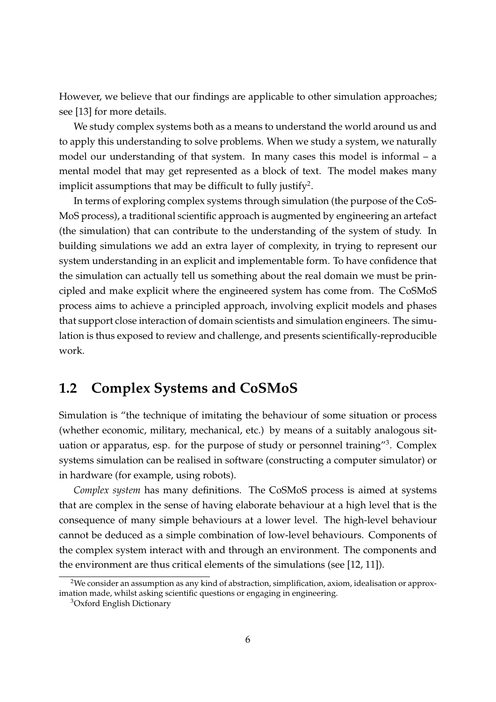However, we believe that our findings are applicable to other simulation approaches; see [13] for more details.

We study complex systems both as a means to understand the world around us and to apply this understanding to solve problems. When we study a system, we naturally model our understanding of that system. In many cases this model is informal – a mental model that may get represented as a block of text. The model makes many implicit assumptions that may be difficult to fully justify<sup>2</sup>.

In terms of exploring complex systems through simulation (the purpose of the CoS-MoS process), a traditional scientific approach is augmented by engineering an artefact (the simulation) that can contribute to the understanding of the system of study. In building simulations we add an extra layer of complexity, in trying to represent our system understanding in an explicit and implementable form. To have confidence that the simulation can actually tell us something about the real domain we must be principled and make explicit where the engineered system has come from. The CoSMoS process aims to achieve a principled approach, involving explicit models and phases that support close interaction of domain scientists and simulation engineers. The simulation is thus exposed to review and challenge, and presents scientifically-reproducible work.

## **1.2 Complex Systems and CoSMoS**

Simulation is "the technique of imitating the behaviour of some situation or process (whether economic, military, mechanical, etc.) by means of a suitably analogous situation or apparatus, esp. for the purpose of study or personnel training"<sup>3</sup>. Complex systems simulation can be realised in software (constructing a computer simulator) or in hardware (for example, using robots).

*Complex system* has many definitions. The CoSMoS process is aimed at systems that are complex in the sense of having elaborate behaviour at a high level that is the consequence of many simple behaviours at a lower level. The high-level behaviour cannot be deduced as a simple combination of low-level behaviours. Components of the complex system interact with and through an environment. The components and the environment are thus critical elements of the simulations (see [12, 11]).

<sup>&</sup>lt;sup>2</sup>We consider an assumption as any kind of abstraction, simplification, axiom, idealisation or approximation made, whilst asking scientific questions or engaging in engineering.

<sup>3</sup>Oxford English Dictionary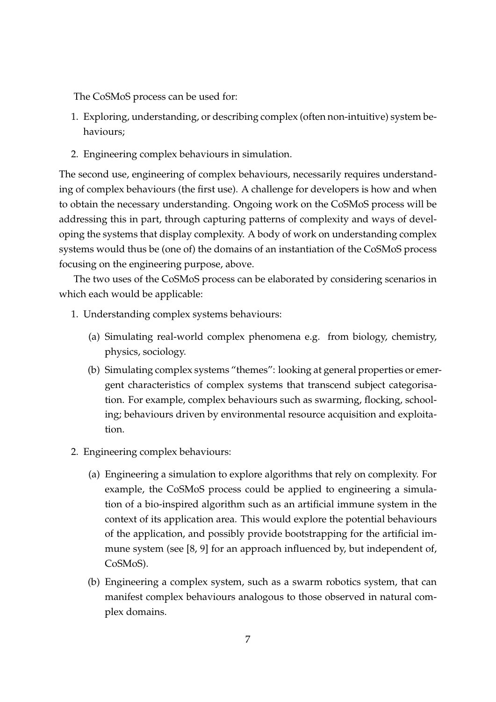The CoSMoS process can be used for:

- 1. Exploring, understanding, or describing complex (often non-intuitive) system behaviours;
- 2. Engineering complex behaviours in simulation.

The second use, engineering of complex behaviours, necessarily requires understanding of complex behaviours (the first use). A challenge for developers is how and when to obtain the necessary understanding. Ongoing work on the CoSMoS process will be addressing this in part, through capturing patterns of complexity and ways of developing the systems that display complexity. A body of work on understanding complex systems would thus be (one of) the domains of an instantiation of the CoSMoS process focusing on the engineering purpose, above.

The two uses of the CoSMoS process can be elaborated by considering scenarios in which each would be applicable:

- 1. Understanding complex systems behaviours:
	- (a) Simulating real-world complex phenomena e.g. from biology, chemistry, physics, sociology.
	- (b) Simulating complex systems "themes": looking at general properties or emergent characteristics of complex systems that transcend subject categorisation. For example, complex behaviours such as swarming, flocking, schooling; behaviours driven by environmental resource acquisition and exploitation.
- 2. Engineering complex behaviours:
	- (a) Engineering a simulation to explore algorithms that rely on complexity. For example, the CoSMoS process could be applied to engineering a simulation of a bio-inspired algorithm such as an artificial immune system in the context of its application area. This would explore the potential behaviours of the application, and possibly provide bootstrapping for the artificial immune system (see [8, 9] for an approach influenced by, but independent of, CoSMoS).
	- (b) Engineering a complex system, such as a swarm robotics system, that can manifest complex behaviours analogous to those observed in natural complex domains.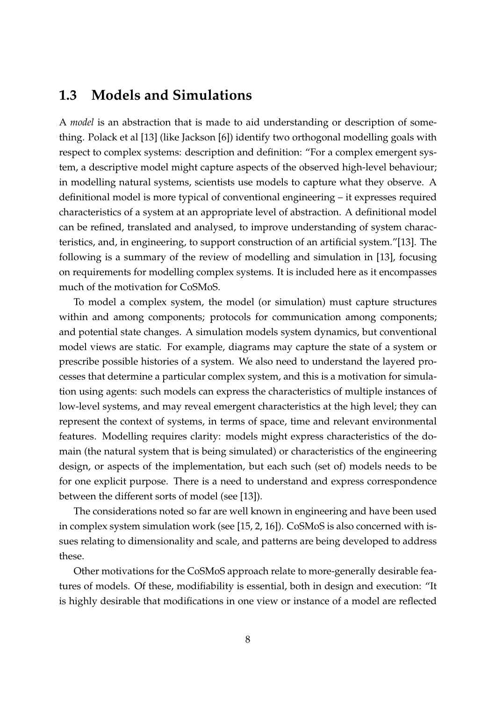### **1.3 Models and Simulations**

A *model* is an abstraction that is made to aid understanding or description of something. Polack et al [13] (like Jackson [6]) identify two orthogonal modelling goals with respect to complex systems: description and definition: "For a complex emergent system, a descriptive model might capture aspects of the observed high-level behaviour; in modelling natural systems, scientists use models to capture what they observe. A definitional model is more typical of conventional engineering – it expresses required characteristics of a system at an appropriate level of abstraction. A definitional model can be refined, translated and analysed, to improve understanding of system characteristics, and, in engineering, to support construction of an artificial system."[13]. The following is a summary of the review of modelling and simulation in [13], focusing on requirements for modelling complex systems. It is included here as it encompasses much of the motivation for CoSMoS.

To model a complex system, the model (or simulation) must capture structures within and among components; protocols for communication among components; and potential state changes. A simulation models system dynamics, but conventional model views are static. For example, diagrams may capture the state of a system or prescribe possible histories of a system. We also need to understand the layered processes that determine a particular complex system, and this is a motivation for simulation using agents: such models can express the characteristics of multiple instances of low-level systems, and may reveal emergent characteristics at the high level; they can represent the context of systems, in terms of space, time and relevant environmental features. Modelling requires clarity: models might express characteristics of the domain (the natural system that is being simulated) or characteristics of the engineering design, or aspects of the implementation, but each such (set of) models needs to be for one explicit purpose. There is a need to understand and express correspondence between the different sorts of model (see [13]).

The considerations noted so far are well known in engineering and have been used in complex system simulation work (see [15, 2, 16]). CoSMoS is also concerned with issues relating to dimensionality and scale, and patterns are being developed to address these.

Other motivations for the CoSMoS approach relate to more-generally desirable features of models. Of these, modifiability is essential, both in design and execution: "It is highly desirable that modifications in one view or instance of a model are reflected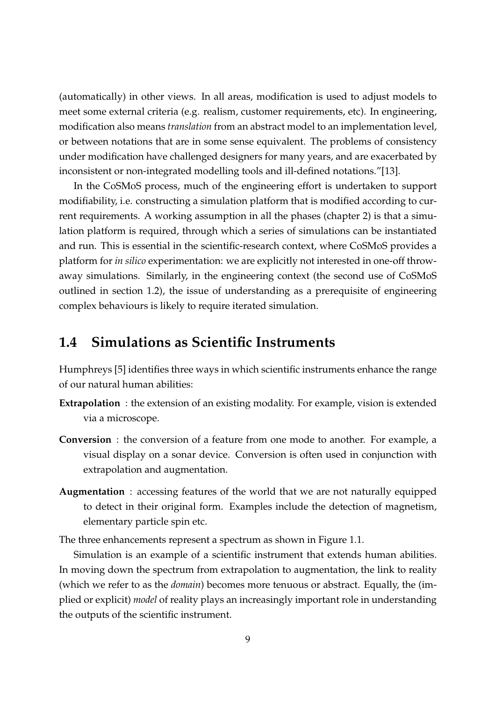(automatically) in other views. In all areas, modification is used to adjust models to meet some external criteria (e.g. realism, customer requirements, etc). In engineering, modification also means *translation* from an abstract model to an implementation level, or between notations that are in some sense equivalent. The problems of consistency under modification have challenged designers for many years, and are exacerbated by inconsistent or non-integrated modelling tools and ill-defined notations."[13].

In the CoSMoS process, much of the engineering effort is undertaken to support modifiability, i.e. constructing a simulation platform that is modified according to current requirements. A working assumption in all the phases (chapter 2) is that a simulation platform is required, through which a series of simulations can be instantiated and run. This is essential in the scientific-research context, where CoSMoS provides a platform for *in silico* experimentation: we are explicitly not interested in one-off throwaway simulations. Similarly, in the engineering context (the second use of CoSMoS outlined in section 1.2), the issue of understanding as a prerequisite of engineering complex behaviours is likely to require iterated simulation.

### **1.4 Simulations as Scientific Instruments**

Humphreys [5] identifies three ways in which scientific instruments enhance the range of our natural human abilities:

- **Extrapolation** : the extension of an existing modality. For example, vision is extended via a microscope.
- **Conversion** : the conversion of a feature from one mode to another. For example, a visual display on a sonar device. Conversion is often used in conjunction with extrapolation and augmentation.
- **Augmentation** : accessing features of the world that we are not naturally equipped to detect in their original form. Examples include the detection of magnetism, elementary particle spin etc.

The three enhancements represent a spectrum as shown in Figure 1.1.

Simulation is an example of a scientific instrument that extends human abilities. In moving down the spectrum from extrapolation to augmentation, the link to reality (which we refer to as the *domain*) becomes more tenuous or abstract. Equally, the (implied or explicit) *model* of reality plays an increasingly important role in understanding the outputs of the scientific instrument.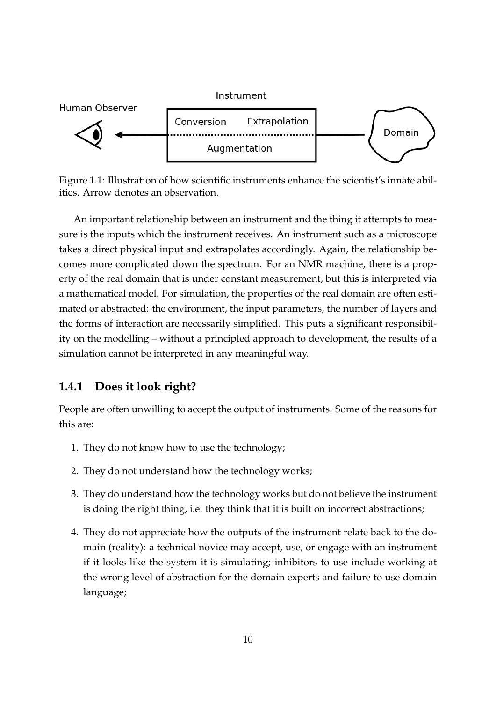

Figure 1.1: Illustration of how scientific instruments enhance the scientist's innate abilities. Arrow denotes an observation.

An important relationship between an instrument and the thing it attempts to measure is the inputs which the instrument receives. An instrument such as a microscope takes a direct physical input and extrapolates accordingly. Again, the relationship becomes more complicated down the spectrum. For an NMR machine, there is a property of the real domain that is under constant measurement, but this is interpreted via a mathematical model. For simulation, the properties of the real domain are often estimated or abstracted: the environment, the input parameters, the number of layers and the forms of interaction are necessarily simplified. This puts a significant responsibility on the modelling – without a principled approach to development, the results of a simulation cannot be interpreted in any meaningful way.

#### **1.4.1 Does it look right?**

People are often unwilling to accept the output of instruments. Some of the reasons for this are:

- 1. They do not know how to use the technology;
- 2. They do not understand how the technology works;
- 3. They do understand how the technology works but do not believe the instrument is doing the right thing, i.e. they think that it is built on incorrect abstractions;
- 4. They do not appreciate how the outputs of the instrument relate back to the domain (reality): a technical novice may accept, use, or engage with an instrument if it looks like the system it is simulating; inhibitors to use include working at the wrong level of abstraction for the domain experts and failure to use domain language;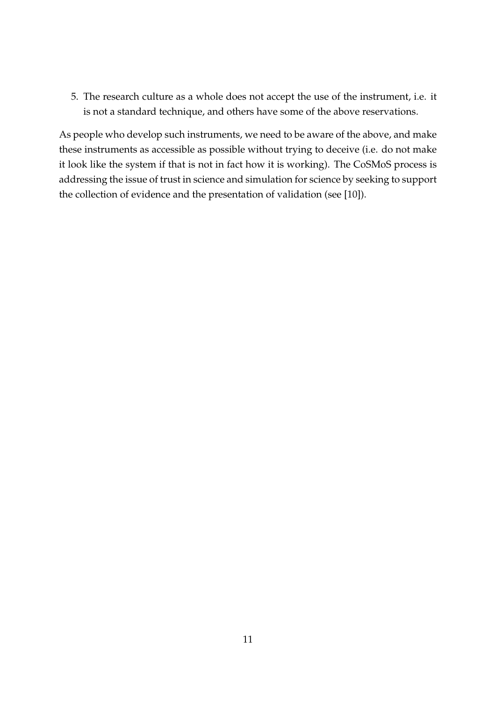5. The research culture as a whole does not accept the use of the instrument, i.e. it is not a standard technique, and others have some of the above reservations.

As people who develop such instruments, we need to be aware of the above, and make these instruments as accessible as possible without trying to deceive (i.e. do not make it look like the system if that is not in fact how it is working). The CoSMoS process is addressing the issue of trust in science and simulation for science by seeking to support the collection of evidence and the presentation of validation (see [10]).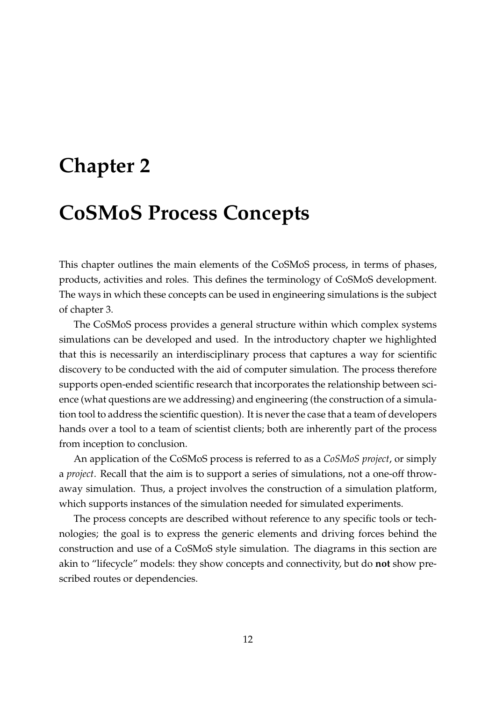# **Chapter 2**

# **CoSMoS Process Concepts**

This chapter outlines the main elements of the CoSMoS process, in terms of phases, products, activities and roles. This defines the terminology of CoSMoS development. The ways in which these concepts can be used in engineering simulations is the subject of chapter 3.

The CoSMoS process provides a general structure within which complex systems simulations can be developed and used. In the introductory chapter we highlighted that this is necessarily an interdisciplinary process that captures a way for scientific discovery to be conducted with the aid of computer simulation. The process therefore supports open-ended scientific research that incorporates the relationship between science (what questions are we addressing) and engineering (the construction of a simulation tool to address the scientific question). It is never the case that a team of developers hands over a tool to a team of scientist clients; both are inherently part of the process from inception to conclusion.

An application of the CoSMoS process is referred to as a *CoSMoS project*, or simply a *project*. Recall that the aim is to support a series of simulations, not a one-off throwaway simulation. Thus, a project involves the construction of a simulation platform, which supports instances of the simulation needed for simulated experiments.

The process concepts are described without reference to any specific tools or technologies; the goal is to express the generic elements and driving forces behind the construction and use of a CoSMoS style simulation. The diagrams in this section are akin to "lifecycle" models: they show concepts and connectivity, but do **not** show prescribed routes or dependencies.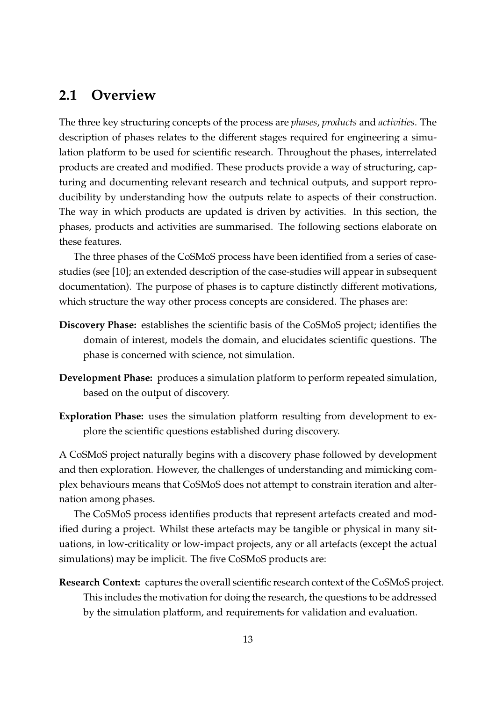### **2.1 Overview**

The three key structuring concepts of the process are *phases*, *products* and *activities*. The description of phases relates to the different stages required for engineering a simulation platform to be used for scientific research. Throughout the phases, interrelated products are created and modified. These products provide a way of structuring, capturing and documenting relevant research and technical outputs, and support reproducibility by understanding how the outputs relate to aspects of their construction. The way in which products are updated is driven by activities. In this section, the phases, products and activities are summarised. The following sections elaborate on these features.

The three phases of the CoSMoS process have been identified from a series of casestudies (see [10]; an extended description of the case-studies will appear in subsequent documentation). The purpose of phases is to capture distinctly different motivations, which structure the way other process concepts are considered. The phases are:

- **Discovery Phase:** establishes the scientific basis of the CoSMoS project; identifies the domain of interest, models the domain, and elucidates scientific questions. The phase is concerned with science, not simulation.
- **Development Phase:** produces a simulation platform to perform repeated simulation, based on the output of discovery.
- **Exploration Phase:** uses the simulation platform resulting from development to explore the scientific questions established during discovery.

A CoSMoS project naturally begins with a discovery phase followed by development and then exploration. However, the challenges of understanding and mimicking complex behaviours means that CoSMoS does not attempt to constrain iteration and alternation among phases.

The CoSMoS process identifies products that represent artefacts created and modified during a project. Whilst these artefacts may be tangible or physical in many situations, in low-criticality or low-impact projects, any or all artefacts (except the actual simulations) may be implicit. The five CoSMoS products are:

**Research Context:** captures the overall scientific research context of the CoSMoS project. This includes the motivation for doing the research, the questions to be addressed by the simulation platform, and requirements for validation and evaluation.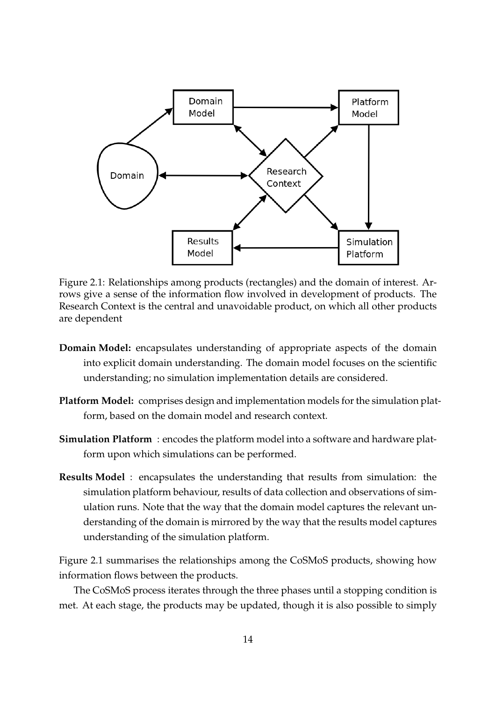

Figure 2.1: Relationships among products (rectangles) and the domain of interest. Arrows give a sense of the information flow involved in development of products. The Research Context is the central and unavoidable product, on which all other products are dependent

- **Domain Model:** encapsulates understanding of appropriate aspects of the domain into explicit domain understanding. The domain model focuses on the scientific understanding; no simulation implementation details are considered.
- **Platform Model:** comprises design and implementation models for the simulation platform, based on the domain model and research context.
- **Simulation Platform** : encodes the platform model into a software and hardware platform upon which simulations can be performed.
- **Results Model** : encapsulates the understanding that results from simulation: the simulation platform behaviour, results of data collection and observations of simulation runs. Note that the way that the domain model captures the relevant understanding of the domain is mirrored by the way that the results model captures understanding of the simulation platform.

Figure 2.1 summarises the relationships among the CoSMoS products, showing how information flows between the products.

The CoSMoS process iterates through the three phases until a stopping condition is met. At each stage, the products may be updated, though it is also possible to simply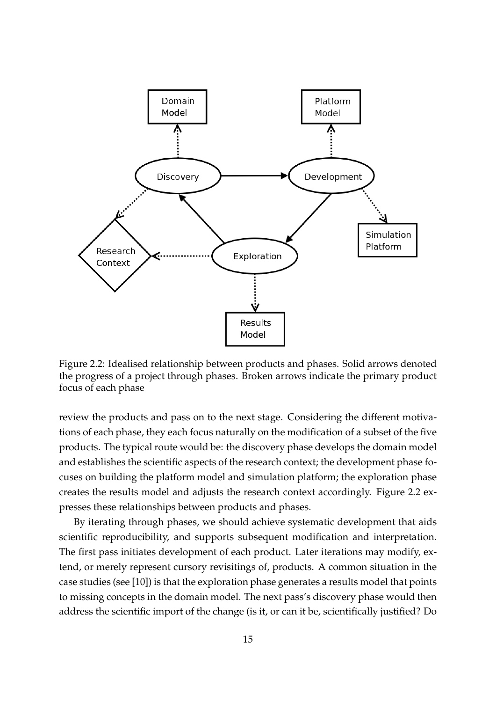

Figure 2.2: Idealised relationship between products and phases. Solid arrows denoted the progress of a project through phases. Broken arrows indicate the primary product focus of each phase

review the products and pass on to the next stage. Considering the different motivations of each phase, they each focus naturally on the modification of a subset of the five products. The typical route would be: the discovery phase develops the domain model and establishes the scientific aspects of the research context; the development phase focuses on building the platform model and simulation platform; the exploration phase creates the results model and adjusts the research context accordingly. Figure 2.2 expresses these relationships between products and phases.

By iterating through phases, we should achieve systematic development that aids scientific reproducibility, and supports subsequent modification and interpretation. The first pass initiates development of each product. Later iterations may modify, extend, or merely represent cursory revisitings of, products. A common situation in the case studies (see [10]) is that the exploration phase generates a results model that points to missing concepts in the domain model. The next pass's discovery phase would then address the scientific import of the change (is it, or can it be, scientifically justified? Do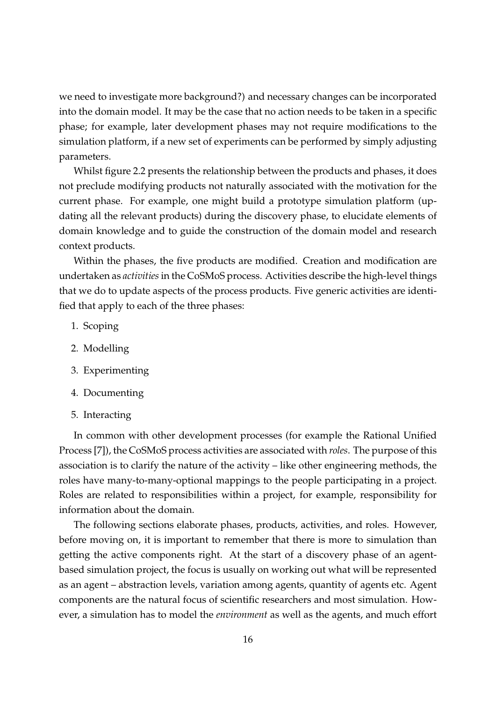we need to investigate more background?) and necessary changes can be incorporated into the domain model. It may be the case that no action needs to be taken in a specific phase; for example, later development phases may not require modifications to the simulation platform, if a new set of experiments can be performed by simply adjusting parameters.

Whilst figure 2.2 presents the relationship between the products and phases, it does not preclude modifying products not naturally associated with the motivation for the current phase. For example, one might build a prototype simulation platform (updating all the relevant products) during the discovery phase, to elucidate elements of domain knowledge and to guide the construction of the domain model and research context products.

Within the phases, the five products are modified. Creation and modification are undertaken as *activities*in the CoSMoS process. Activities describe the high-level things that we do to update aspects of the process products. Five generic activities are identified that apply to each of the three phases:

- 1. Scoping
- 2. Modelling
- 3. Experimenting
- 4. Documenting
- 5. Interacting

In common with other development processes (for example the Rational Unified Process [7]), the CoSMoS process activities are associated with *roles*. The purpose of this association is to clarify the nature of the activity – like other engineering methods, the roles have many-to-many-optional mappings to the people participating in a project. Roles are related to responsibilities within a project, for example, responsibility for information about the domain.

The following sections elaborate phases, products, activities, and roles. However, before moving on, it is important to remember that there is more to simulation than getting the active components right. At the start of a discovery phase of an agentbased simulation project, the focus is usually on working out what will be represented as an agent – abstraction levels, variation among agents, quantity of agents etc. Agent components are the natural focus of scientific researchers and most simulation. However, a simulation has to model the *environment* as well as the agents, and much effort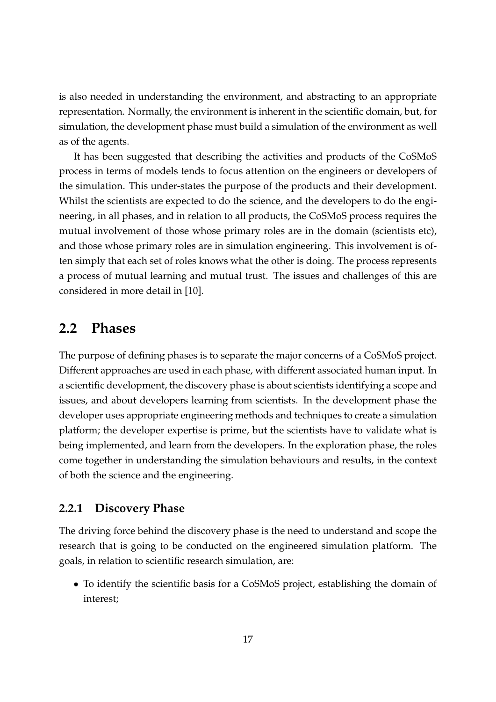is also needed in understanding the environment, and abstracting to an appropriate representation. Normally, the environment is inherent in the scientific domain, but, for simulation, the development phase must build a simulation of the environment as well as of the agents.

It has been suggested that describing the activities and products of the CoSMoS process in terms of models tends to focus attention on the engineers or developers of the simulation. This under-states the purpose of the products and their development. Whilst the scientists are expected to do the science, and the developers to do the engineering, in all phases, and in relation to all products, the CoSMoS process requires the mutual involvement of those whose primary roles are in the domain (scientists etc), and those whose primary roles are in simulation engineering. This involvement is often simply that each set of roles knows what the other is doing. The process represents a process of mutual learning and mutual trust. The issues and challenges of this are considered in more detail in [10].

### **2.2 Phases**

The purpose of defining phases is to separate the major concerns of a CoSMoS project. Different approaches are used in each phase, with different associated human input. In a scientific development, the discovery phase is about scientists identifying a scope and issues, and about developers learning from scientists. In the development phase the developer uses appropriate engineering methods and techniques to create a simulation platform; the developer expertise is prime, but the scientists have to validate what is being implemented, and learn from the developers. In the exploration phase, the roles come together in understanding the simulation behaviours and results, in the context of both the science and the engineering.

#### **2.2.1 Discovery Phase**

The driving force behind the discovery phase is the need to understand and scope the research that is going to be conducted on the engineered simulation platform. The goals, in relation to scientific research simulation, are:

• To identify the scientific basis for a CoSMoS project, establishing the domain of interest;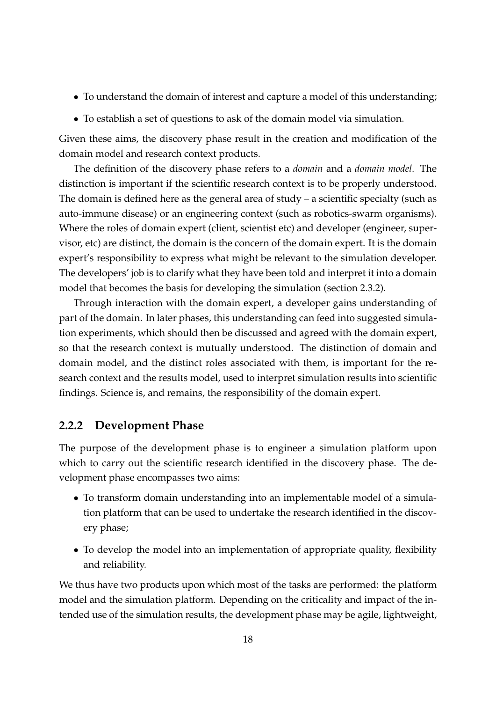- To understand the domain of interest and capture a model of this understanding;
- To establish a set of questions to ask of the domain model via simulation.

Given these aims, the discovery phase result in the creation and modification of the domain model and research context products.

The definition of the discovery phase refers to a *domain* and a *domain model*. The distinction is important if the scientific research context is to be properly understood. The domain is defined here as the general area of study – a scientific specialty (such as auto-immune disease) or an engineering context (such as robotics-swarm organisms). Where the roles of domain expert (client, scientist etc) and developer (engineer, supervisor, etc) are distinct, the domain is the concern of the domain expert. It is the domain expert's responsibility to express what might be relevant to the simulation developer. The developers' job is to clarify what they have been told and interpret it into a domain model that becomes the basis for developing the simulation (section 2.3.2).

Through interaction with the domain expert, a developer gains understanding of part of the domain. In later phases, this understanding can feed into suggested simulation experiments, which should then be discussed and agreed with the domain expert, so that the research context is mutually understood. The distinction of domain and domain model, and the distinct roles associated with them, is important for the research context and the results model, used to interpret simulation results into scientific findings. Science is, and remains, the responsibility of the domain expert.

#### **2.2.2 Development Phase**

The purpose of the development phase is to engineer a simulation platform upon which to carry out the scientific research identified in the discovery phase. The development phase encompasses two aims:

- To transform domain understanding into an implementable model of a simulation platform that can be used to undertake the research identified in the discovery phase;
- To develop the model into an implementation of appropriate quality, flexibility and reliability.

We thus have two products upon which most of the tasks are performed: the platform model and the simulation platform. Depending on the criticality and impact of the intended use of the simulation results, the development phase may be agile, lightweight,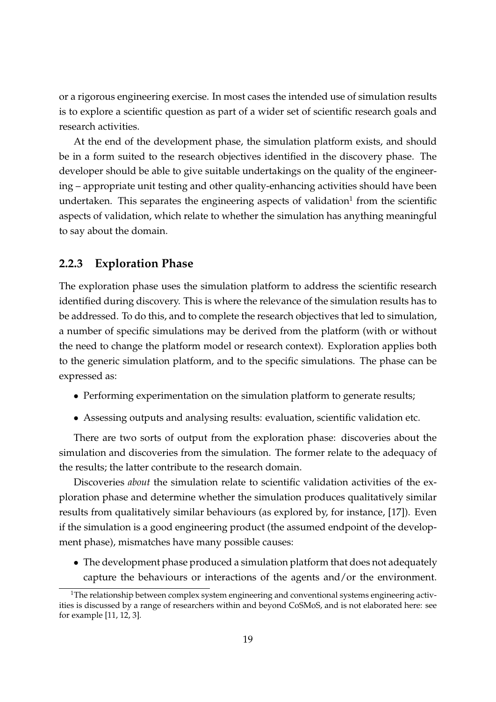or a rigorous engineering exercise. In most cases the intended use of simulation results is to explore a scientific question as part of a wider set of scientific research goals and research activities.

At the end of the development phase, the simulation platform exists, and should be in a form suited to the research objectives identified in the discovery phase. The developer should be able to give suitable undertakings on the quality of the engineering – appropriate unit testing and other quality-enhancing activities should have been undertaken. This separates the engineering aspects of validation<sup>1</sup> from the scientific aspects of validation, which relate to whether the simulation has anything meaningful to say about the domain.

#### **2.2.3 Exploration Phase**

The exploration phase uses the simulation platform to address the scientific research identified during discovery. This is where the relevance of the simulation results has to be addressed. To do this, and to complete the research objectives that led to simulation, a number of specific simulations may be derived from the platform (with or without the need to change the platform model or research context). Exploration applies both to the generic simulation platform, and to the specific simulations. The phase can be expressed as:

- Performing experimentation on the simulation platform to generate results;
- Assessing outputs and analysing results: evaluation, scientific validation etc.

There are two sorts of output from the exploration phase: discoveries about the simulation and discoveries from the simulation. The former relate to the adequacy of the results; the latter contribute to the research domain.

Discoveries *about* the simulation relate to scientific validation activities of the exploration phase and determine whether the simulation produces qualitatively similar results from qualitatively similar behaviours (as explored by, for instance, [17]). Even if the simulation is a good engineering product (the assumed endpoint of the development phase), mismatches have many possible causes:

• The development phase produced a simulation platform that does not adequately capture the behaviours or interactions of the agents and/or the environment.

<sup>&</sup>lt;sup>1</sup>The relationship between complex system engineering and conventional systems engineering activities is discussed by a range of researchers within and beyond CoSMoS, and is not elaborated here: see for example [11, 12, 3].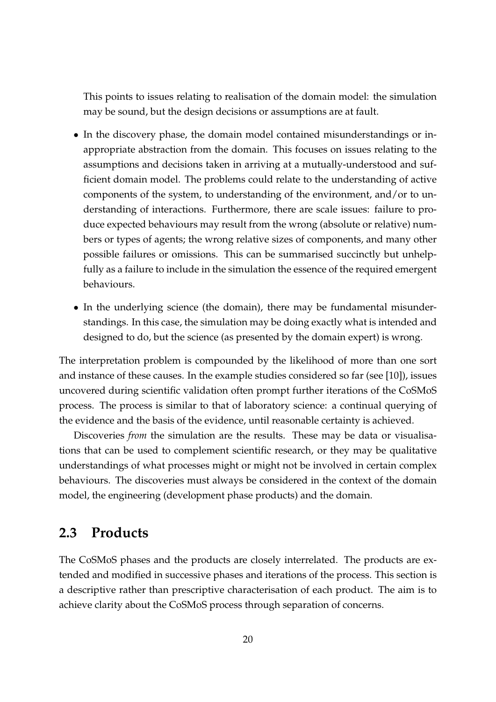This points to issues relating to realisation of the domain model: the simulation may be sound, but the design decisions or assumptions are at fault.

- In the discovery phase, the domain model contained misunderstandings or inappropriate abstraction from the domain. This focuses on issues relating to the assumptions and decisions taken in arriving at a mutually-understood and sufficient domain model. The problems could relate to the understanding of active components of the system, to understanding of the environment, and/or to understanding of interactions. Furthermore, there are scale issues: failure to produce expected behaviours may result from the wrong (absolute or relative) numbers or types of agents; the wrong relative sizes of components, and many other possible failures or omissions. This can be summarised succinctly but unhelpfully as a failure to include in the simulation the essence of the required emergent behaviours.
- In the underlying science (the domain), there may be fundamental misunderstandings. In this case, the simulation may be doing exactly what is intended and designed to do, but the science (as presented by the domain expert) is wrong.

The interpretation problem is compounded by the likelihood of more than one sort and instance of these causes. In the example studies considered so far (see [10]), issues uncovered during scientific validation often prompt further iterations of the CoSMoS process. The process is similar to that of laboratory science: a continual querying of the evidence and the basis of the evidence, until reasonable certainty is achieved.

Discoveries *from* the simulation are the results. These may be data or visualisations that can be used to complement scientific research, or they may be qualitative understandings of what processes might or might not be involved in certain complex behaviours. The discoveries must always be considered in the context of the domain model, the engineering (development phase products) and the domain.

### **2.3 Products**

The CoSMoS phases and the products are closely interrelated. The products are extended and modified in successive phases and iterations of the process. This section is a descriptive rather than prescriptive characterisation of each product. The aim is to achieve clarity about the CoSMoS process through separation of concerns.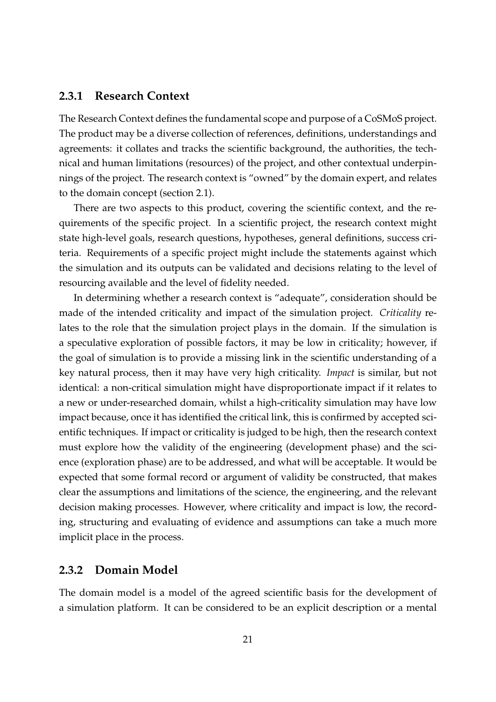#### **2.3.1 Research Context**

The Research Context defines the fundamental scope and purpose of a CoSMoS project. The product may be a diverse collection of references, definitions, understandings and agreements: it collates and tracks the scientific background, the authorities, the technical and human limitations (resources) of the project, and other contextual underpinnings of the project. The research context is "owned" by the domain expert, and relates to the domain concept (section 2.1).

There are two aspects to this product, covering the scientific context, and the requirements of the specific project. In a scientific project, the research context might state high-level goals, research questions, hypotheses, general definitions, success criteria. Requirements of a specific project might include the statements against which the simulation and its outputs can be validated and decisions relating to the level of resourcing available and the level of fidelity needed.

In determining whether a research context is "adequate", consideration should be made of the intended criticality and impact of the simulation project. *Criticality* relates to the role that the simulation project plays in the domain. If the simulation is a speculative exploration of possible factors, it may be low in criticality; however, if the goal of simulation is to provide a missing link in the scientific understanding of a key natural process, then it may have very high criticality. *Impact* is similar, but not identical: a non-critical simulation might have disproportionate impact if it relates to a new or under-researched domain, whilst a high-criticality simulation may have low impact because, once it has identified the critical link, this is confirmed by accepted scientific techniques. If impact or criticality is judged to be high, then the research context must explore how the validity of the engineering (development phase) and the science (exploration phase) are to be addressed, and what will be acceptable. It would be expected that some formal record or argument of validity be constructed, that makes clear the assumptions and limitations of the science, the engineering, and the relevant decision making processes. However, where criticality and impact is low, the recording, structuring and evaluating of evidence and assumptions can take a much more implicit place in the process.

#### **2.3.2 Domain Model**

The domain model is a model of the agreed scientific basis for the development of a simulation platform. It can be considered to be an explicit description or a mental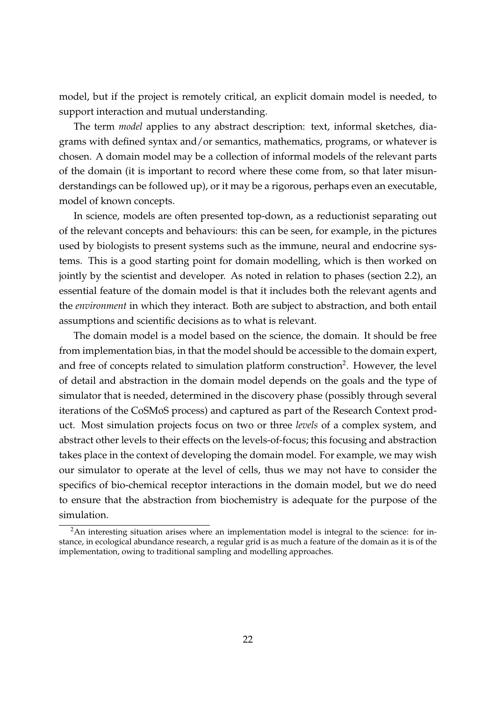model, but if the project is remotely critical, an explicit domain model is needed, to support interaction and mutual understanding.

The term *model* applies to any abstract description: text, informal sketches, diagrams with defined syntax and/or semantics, mathematics, programs, or whatever is chosen. A domain model may be a collection of informal models of the relevant parts of the domain (it is important to record where these come from, so that later misunderstandings can be followed up), or it may be a rigorous, perhaps even an executable, model of known concepts.

In science, models are often presented top-down, as a reductionist separating out of the relevant concepts and behaviours: this can be seen, for example, in the pictures used by biologists to present systems such as the immune, neural and endocrine systems. This is a good starting point for domain modelling, which is then worked on jointly by the scientist and developer. As noted in relation to phases (section 2.2), an essential feature of the domain model is that it includes both the relevant agents and the *environment* in which they interact. Both are subject to abstraction, and both entail assumptions and scientific decisions as to what is relevant.

The domain model is a model based on the science, the domain. It should be free from implementation bias, in that the model should be accessible to the domain expert, and free of concepts related to simulation platform construction<sup>2</sup>. However, the level of detail and abstraction in the domain model depends on the goals and the type of simulator that is needed, determined in the discovery phase (possibly through several iterations of the CoSMoS process) and captured as part of the Research Context product. Most simulation projects focus on two or three *levels* of a complex system, and abstract other levels to their effects on the levels-of-focus; this focusing and abstraction takes place in the context of developing the domain model. For example, we may wish our simulator to operate at the level of cells, thus we may not have to consider the specifics of bio-chemical receptor interactions in the domain model, but we do need to ensure that the abstraction from biochemistry is adequate for the purpose of the simulation.

 $2An$  interesting situation arises where an implementation model is integral to the science: for instance, in ecological abundance research, a regular grid is as much a feature of the domain as it is of the implementation, owing to traditional sampling and modelling approaches.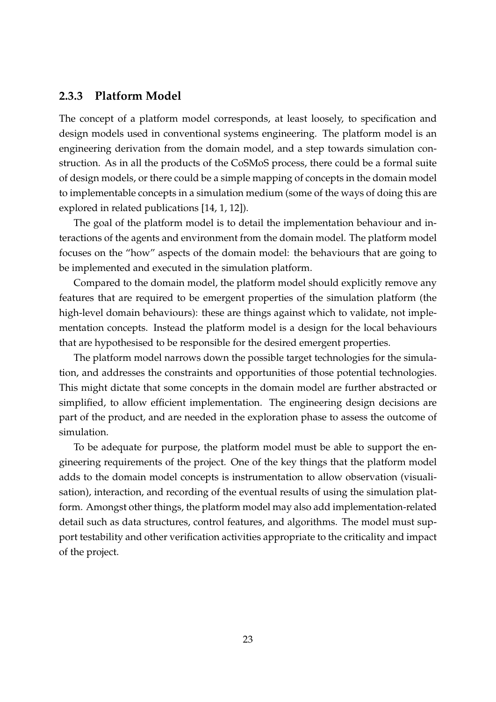#### **2.3.3 Platform Model**

The concept of a platform model corresponds, at least loosely, to specification and design models used in conventional systems engineering. The platform model is an engineering derivation from the domain model, and a step towards simulation construction. As in all the products of the CoSMoS process, there could be a formal suite of design models, or there could be a simple mapping of concepts in the domain model to implementable concepts in a simulation medium (some of the ways of doing this are explored in related publications [14, 1, 12]).

The goal of the platform model is to detail the implementation behaviour and interactions of the agents and environment from the domain model. The platform model focuses on the "how" aspects of the domain model: the behaviours that are going to be implemented and executed in the simulation platform.

Compared to the domain model, the platform model should explicitly remove any features that are required to be emergent properties of the simulation platform (the high-level domain behaviours): these are things against which to validate, not implementation concepts. Instead the platform model is a design for the local behaviours that are hypothesised to be responsible for the desired emergent properties.

The platform model narrows down the possible target technologies for the simulation, and addresses the constraints and opportunities of those potential technologies. This might dictate that some concepts in the domain model are further abstracted or simplified, to allow efficient implementation. The engineering design decisions are part of the product, and are needed in the exploration phase to assess the outcome of simulation.

To be adequate for purpose, the platform model must be able to support the engineering requirements of the project. One of the key things that the platform model adds to the domain model concepts is instrumentation to allow observation (visualisation), interaction, and recording of the eventual results of using the simulation platform. Amongst other things, the platform model may also add implementation-related detail such as data structures, control features, and algorithms. The model must support testability and other verification activities appropriate to the criticality and impact of the project.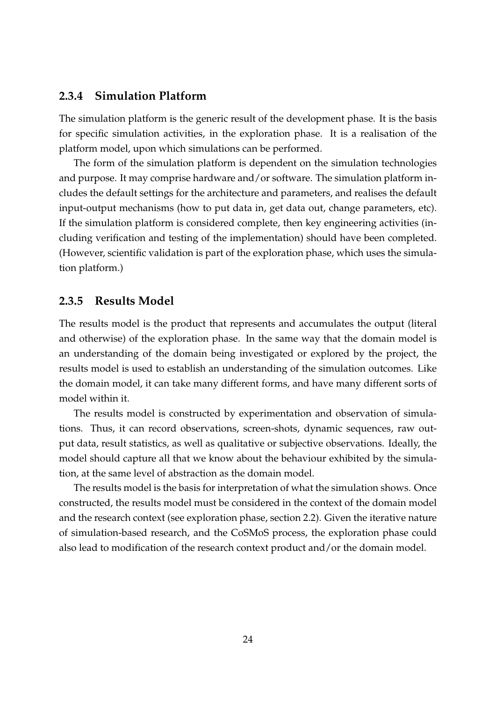#### **2.3.4 Simulation Platform**

The simulation platform is the generic result of the development phase. It is the basis for specific simulation activities, in the exploration phase. It is a realisation of the platform model, upon which simulations can be performed.

The form of the simulation platform is dependent on the simulation technologies and purpose. It may comprise hardware and/or software. The simulation platform includes the default settings for the architecture and parameters, and realises the default input-output mechanisms (how to put data in, get data out, change parameters, etc). If the simulation platform is considered complete, then key engineering activities (including verification and testing of the implementation) should have been completed. (However, scientific validation is part of the exploration phase, which uses the simulation platform.)

#### **2.3.5 Results Model**

The results model is the product that represents and accumulates the output (literal and otherwise) of the exploration phase. In the same way that the domain model is an understanding of the domain being investigated or explored by the project, the results model is used to establish an understanding of the simulation outcomes. Like the domain model, it can take many different forms, and have many different sorts of model within it.

The results model is constructed by experimentation and observation of simulations. Thus, it can record observations, screen-shots, dynamic sequences, raw output data, result statistics, as well as qualitative or subjective observations. Ideally, the model should capture all that we know about the behaviour exhibited by the simulation, at the same level of abstraction as the domain model.

The results model is the basis for interpretation of what the simulation shows. Once constructed, the results model must be considered in the context of the domain model and the research context (see exploration phase, section 2.2). Given the iterative nature of simulation-based research, and the CoSMoS process, the exploration phase could also lead to modification of the research context product and/or the domain model.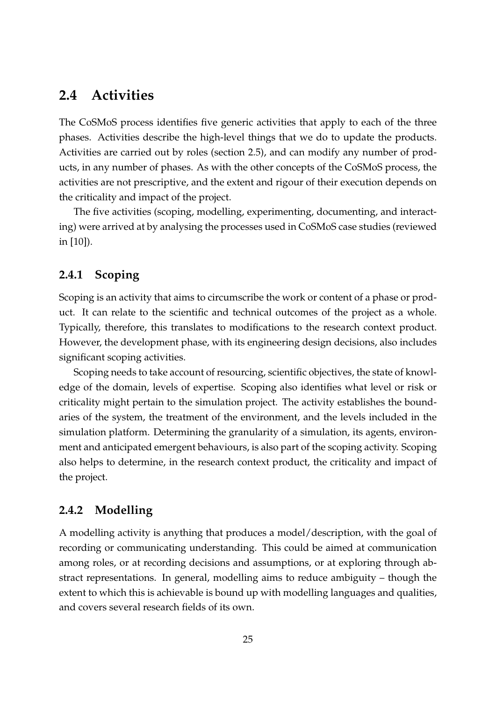### **2.4 Activities**

The CoSMoS process identifies five generic activities that apply to each of the three phases. Activities describe the high-level things that we do to update the products. Activities are carried out by roles (section 2.5), and can modify any number of products, in any number of phases. As with the other concepts of the CoSMoS process, the activities are not prescriptive, and the extent and rigour of their execution depends on the criticality and impact of the project.

The five activities (scoping, modelling, experimenting, documenting, and interacting) were arrived at by analysing the processes used in CoSMoS case studies (reviewed in [10]).

#### **2.4.1 Scoping**

Scoping is an activity that aims to circumscribe the work or content of a phase or product. It can relate to the scientific and technical outcomes of the project as a whole. Typically, therefore, this translates to modifications to the research context product. However, the development phase, with its engineering design decisions, also includes significant scoping activities.

Scoping needs to take account of resourcing, scientific objectives, the state of knowledge of the domain, levels of expertise. Scoping also identifies what level or risk or criticality might pertain to the simulation project. The activity establishes the boundaries of the system, the treatment of the environment, and the levels included in the simulation platform. Determining the granularity of a simulation, its agents, environment and anticipated emergent behaviours, is also part of the scoping activity. Scoping also helps to determine, in the research context product, the criticality and impact of the project.

### **2.4.2 Modelling**

A modelling activity is anything that produces a model/description, with the goal of recording or communicating understanding. This could be aimed at communication among roles, or at recording decisions and assumptions, or at exploring through abstract representations. In general, modelling aims to reduce ambiguity – though the extent to which this is achievable is bound up with modelling languages and qualities, and covers several research fields of its own.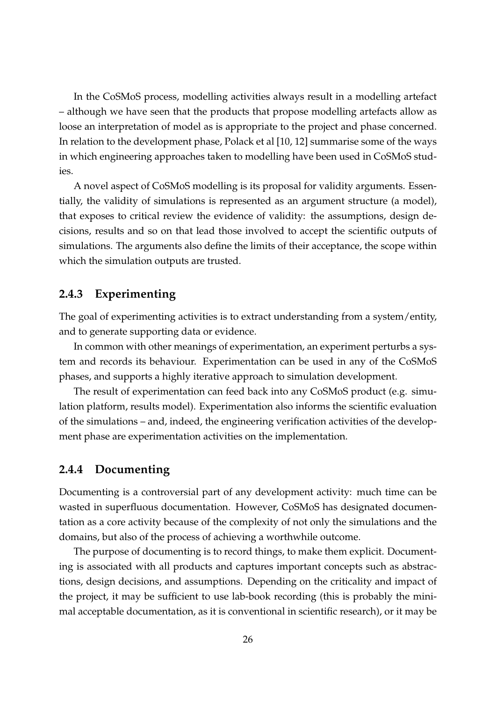In the CoSMoS process, modelling activities always result in a modelling artefact – although we have seen that the products that propose modelling artefacts allow as loose an interpretation of model as is appropriate to the project and phase concerned. In relation to the development phase, Polack et al [10, 12] summarise some of the ways in which engineering approaches taken to modelling have been used in CoSMoS studies.

A novel aspect of CoSMoS modelling is its proposal for validity arguments. Essentially, the validity of simulations is represented as an argument structure (a model), that exposes to critical review the evidence of validity: the assumptions, design decisions, results and so on that lead those involved to accept the scientific outputs of simulations. The arguments also define the limits of their acceptance, the scope within which the simulation outputs are trusted.

#### **2.4.3 Experimenting**

The goal of experimenting activities is to extract understanding from a system/entity, and to generate supporting data or evidence.

In common with other meanings of experimentation, an experiment perturbs a system and records its behaviour. Experimentation can be used in any of the CoSMoS phases, and supports a highly iterative approach to simulation development.

The result of experimentation can feed back into any CoSMoS product (e.g. simulation platform, results model). Experimentation also informs the scientific evaluation of the simulations – and, indeed, the engineering verification activities of the development phase are experimentation activities on the implementation.

#### **2.4.4 Documenting**

Documenting is a controversial part of any development activity: much time can be wasted in superfluous documentation. However, CoSMoS has designated documentation as a core activity because of the complexity of not only the simulations and the domains, but also of the process of achieving a worthwhile outcome.

The purpose of documenting is to record things, to make them explicit. Documenting is associated with all products and captures important concepts such as abstractions, design decisions, and assumptions. Depending on the criticality and impact of the project, it may be sufficient to use lab-book recording (this is probably the minimal acceptable documentation, as it is conventional in scientific research), or it may be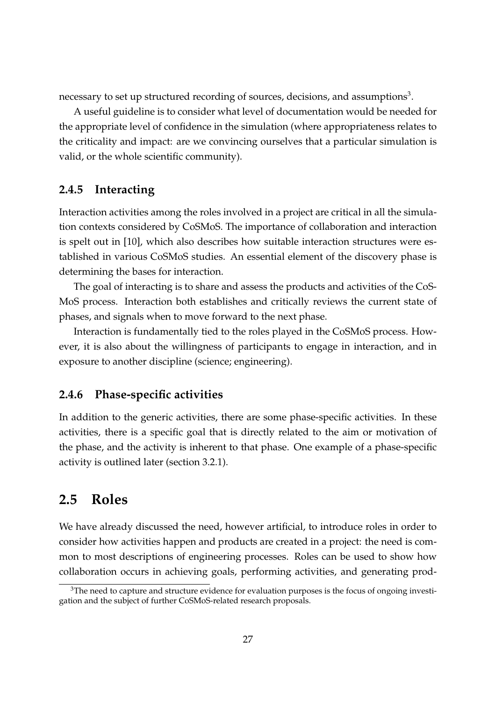necessary to set up structured recording of sources, decisions, and assumptions $^3\!$ .

A useful guideline is to consider what level of documentation would be needed for the appropriate level of confidence in the simulation (where appropriateness relates to the criticality and impact: are we convincing ourselves that a particular simulation is valid, or the whole scientific community).

#### **2.4.5 Interacting**

Interaction activities among the roles involved in a project are critical in all the simulation contexts considered by CoSMoS. The importance of collaboration and interaction is spelt out in [10], which also describes how suitable interaction structures were established in various CoSMoS studies. An essential element of the discovery phase is determining the bases for interaction.

The goal of interacting is to share and assess the products and activities of the CoS-MoS process. Interaction both establishes and critically reviews the current state of phases, and signals when to move forward to the next phase.

Interaction is fundamentally tied to the roles played in the CoSMoS process. However, it is also about the willingness of participants to engage in interaction, and in exposure to another discipline (science; engineering).

#### **2.4.6 Phase-specific activities**

In addition to the generic activities, there are some phase-specific activities. In these activities, there is a specific goal that is directly related to the aim or motivation of the phase, and the activity is inherent to that phase. One example of a phase-specific activity is outlined later (section 3.2.1).

### **2.5 Roles**

We have already discussed the need, however artificial, to introduce roles in order to consider how activities happen and products are created in a project: the need is common to most descriptions of engineering processes. Roles can be used to show how collaboration occurs in achieving goals, performing activities, and generating prod-

 $3$ The need to capture and structure evidence for evaluation purposes is the focus of ongoing investigation and the subject of further CoSMoS-related research proposals.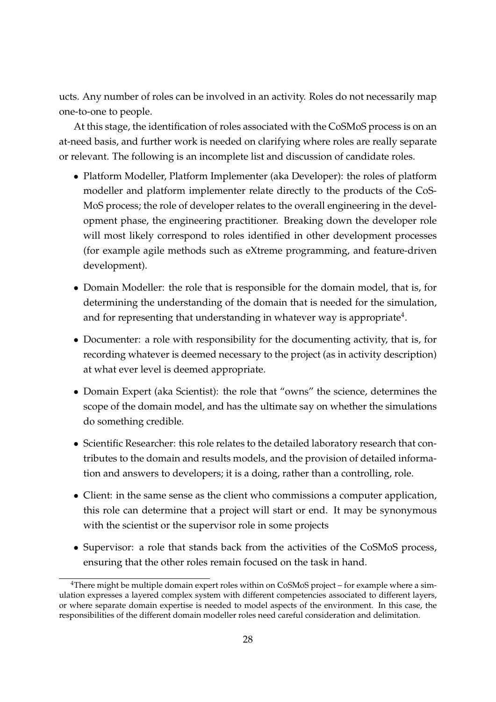ucts. Any number of roles can be involved in an activity. Roles do not necessarily map one-to-one to people.

At this stage, the identification of roles associated with the CoSMoS process is on an at-need basis, and further work is needed on clarifying where roles are really separate or relevant. The following is an incomplete list and discussion of candidate roles.

- Platform Modeller, Platform Implementer (aka Developer): the roles of platform modeller and platform implementer relate directly to the products of the CoS-MoS process; the role of developer relates to the overall engineering in the development phase, the engineering practitioner. Breaking down the developer role will most likely correspond to roles identified in other development processes (for example agile methods such as eXtreme programming, and feature-driven development).
- Domain Modeller: the role that is responsible for the domain model, that is, for determining the understanding of the domain that is needed for the simulation, and for representing that understanding in whatever way is appropriate<sup>4</sup>.
- Documenter: a role with responsibility for the documenting activity, that is, for recording whatever is deemed necessary to the project (as in activity description) at what ever level is deemed appropriate.
- Domain Expert (aka Scientist): the role that "owns" the science, determines the scope of the domain model, and has the ultimate say on whether the simulations do something credible.
- Scientific Researcher: this role relates to the detailed laboratory research that contributes to the domain and results models, and the provision of detailed information and answers to developers; it is a doing, rather than a controlling, role.
- Client: in the same sense as the client who commissions a computer application, this role can determine that a project will start or end. It may be synonymous with the scientist or the supervisor role in some projects
- Supervisor: a role that stands back from the activities of the CoSMoS process, ensuring that the other roles remain focused on the task in hand.

 $4$ There might be multiple domain expert roles within on CoSMoS project – for example where a simulation expresses a layered complex system with different competencies associated to different layers, or where separate domain expertise is needed to model aspects of the environment. In this case, the responsibilities of the different domain modeller roles need careful consideration and delimitation.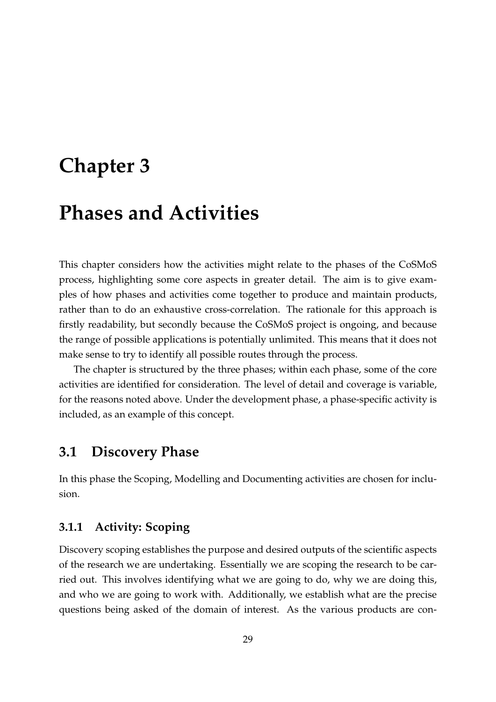# **Chapter 3**

# **Phases and Activities**

This chapter considers how the activities might relate to the phases of the CoSMoS process, highlighting some core aspects in greater detail. The aim is to give examples of how phases and activities come together to produce and maintain products, rather than to do an exhaustive cross-correlation. The rationale for this approach is firstly readability, but secondly because the CoSMoS project is ongoing, and because the range of possible applications is potentially unlimited. This means that it does not make sense to try to identify all possible routes through the process.

The chapter is structured by the three phases; within each phase, some of the core activities are identified for consideration. The level of detail and coverage is variable, for the reasons noted above. Under the development phase, a phase-specific activity is included, as an example of this concept.

### **3.1 Discovery Phase**

In this phase the Scoping, Modelling and Documenting activities are chosen for inclusion.

#### **3.1.1 Activity: Scoping**

Discovery scoping establishes the purpose and desired outputs of the scientific aspects of the research we are undertaking. Essentially we are scoping the research to be carried out. This involves identifying what we are going to do, why we are doing this, and who we are going to work with. Additionally, we establish what are the precise questions being asked of the domain of interest. As the various products are con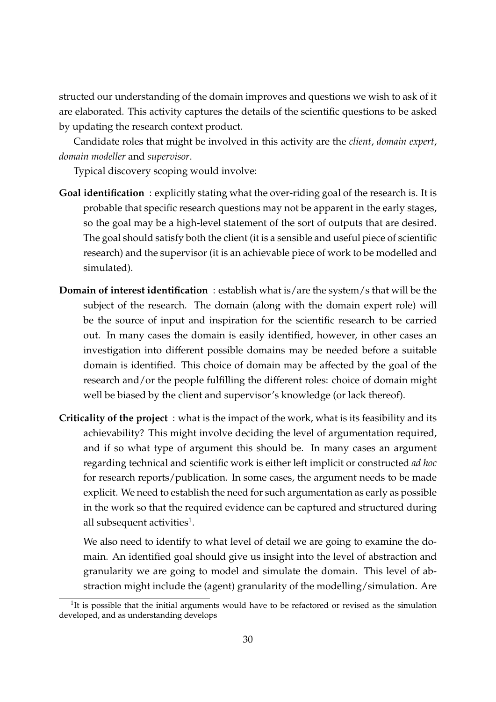structed our understanding of the domain improves and questions we wish to ask of it are elaborated. This activity captures the details of the scientific questions to be asked by updating the research context product.

Candidate roles that might be involved in this activity are the *client*, *domain expert*, *domain modeller* and *supervisor*.

Typical discovery scoping would involve:

- **Goal identification** : explicitly stating what the over-riding goal of the research is. It is probable that specific research questions may not be apparent in the early stages, so the goal may be a high-level statement of the sort of outputs that are desired. The goal should satisfy both the client (it is a sensible and useful piece of scientific research) and the supervisor (it is an achievable piece of work to be modelled and simulated).
- **Domain of interest identification** : establish what is/are the system/s that will be the subject of the research. The domain (along with the domain expert role) will be the source of input and inspiration for the scientific research to be carried out. In many cases the domain is easily identified, however, in other cases an investigation into different possible domains may be needed before a suitable domain is identified. This choice of domain may be affected by the goal of the research and/or the people fulfilling the different roles: choice of domain might well be biased by the client and supervisor's knowledge (or lack thereof).
- **Criticality of the project** : what is the impact of the work, what is its feasibility and its achievability? This might involve deciding the level of argumentation required, and if so what type of argument this should be. In many cases an argument regarding technical and scientific work is either left implicit or constructed *ad hoc* for research reports/publication. In some cases, the argument needs to be made explicit. We need to establish the need for such argumentation as early as possible in the work so that the required evidence can be captured and structured during all subsequent activities<sup>1</sup>.

We also need to identify to what level of detail we are going to examine the domain. An identified goal should give us insight into the level of abstraction and granularity we are going to model and simulate the domain. This level of abstraction might include the (agent) granularity of the modelling/simulation. Are

<sup>&</sup>lt;sup>1</sup>It is possible that the initial arguments would have to be refactored or revised as the simulation developed, and as understanding develops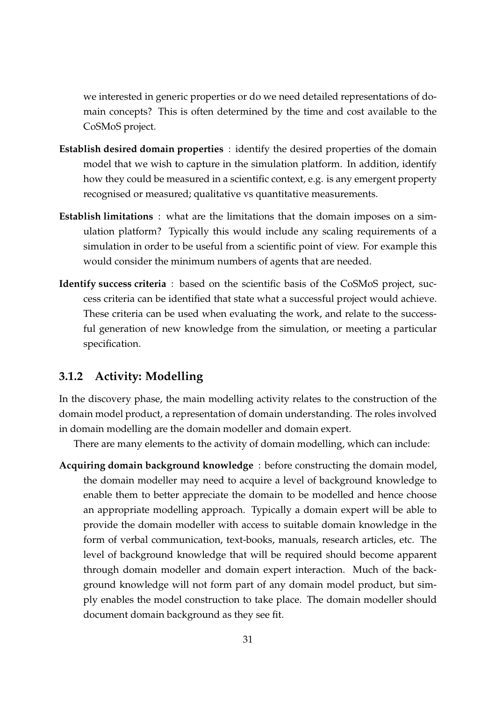we interested in generic properties or do we need detailed representations of domain concepts? This is often determined by the time and cost available to the CoSMoS project.

- **Establish desired domain properties** : identify the desired properties of the domain model that we wish to capture in the simulation platform. In addition, identify how they could be measured in a scientific context, e.g. is any emergent property recognised or measured; qualitative vs quantitative measurements.
- **Establish limitations** : what are the limitations that the domain imposes on a simulation platform? Typically this would include any scaling requirements of a simulation in order to be useful from a scientific point of view. For example this would consider the minimum numbers of agents that are needed.
- **Identify success criteria** : based on the scientific basis of the CoSMoS project, success criteria can be identified that state what a successful project would achieve. These criteria can be used when evaluating the work, and relate to the successful generation of new knowledge from the simulation, or meeting a particular specification.

#### **3.1.2 Activity: Modelling**

In the discovery phase, the main modelling activity relates to the construction of the domain model product, a representation of domain understanding. The roles involved in domain modelling are the domain modeller and domain expert.

There are many elements to the activity of domain modelling, which can include:

**Acquiring domain background knowledge** : before constructing the domain model, the domain modeller may need to acquire a level of background knowledge to enable them to better appreciate the domain to be modelled and hence choose an appropriate modelling approach. Typically a domain expert will be able to provide the domain modeller with access to suitable domain knowledge in the form of verbal communication, text-books, manuals, research articles, etc. The level of background knowledge that will be required should become apparent through domain modeller and domain expert interaction. Much of the background knowledge will not form part of any domain model product, but simply enables the model construction to take place. The domain modeller should document domain background as they see fit.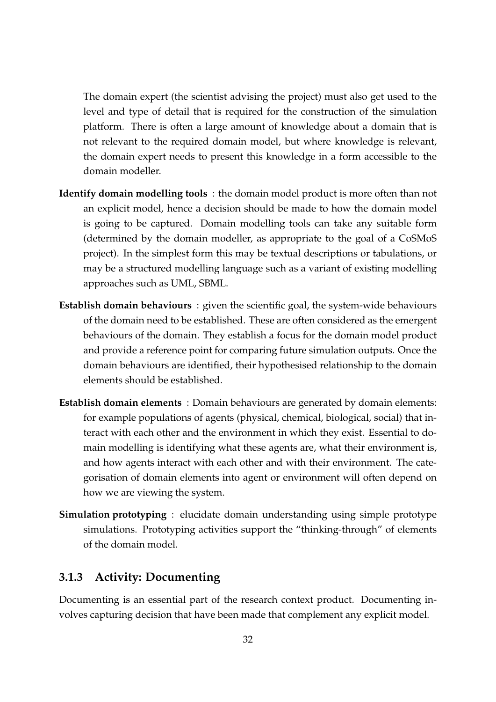The domain expert (the scientist advising the project) must also get used to the level and type of detail that is required for the construction of the simulation platform. There is often a large amount of knowledge about a domain that is not relevant to the required domain model, but where knowledge is relevant, the domain expert needs to present this knowledge in a form accessible to the domain modeller.

- **Identify domain modelling tools** : the domain model product is more often than not an explicit model, hence a decision should be made to how the domain model is going to be captured. Domain modelling tools can take any suitable form (determined by the domain modeller, as appropriate to the goal of a CoSMoS project). In the simplest form this may be textual descriptions or tabulations, or may be a structured modelling language such as a variant of existing modelling approaches such as UML, SBML.
- **Establish domain behaviours** : given the scientific goal, the system-wide behaviours of the domain need to be established. These are often considered as the emergent behaviours of the domain. They establish a focus for the domain model product and provide a reference point for comparing future simulation outputs. Once the domain behaviours are identified, their hypothesised relationship to the domain elements should be established.
- **Establish domain elements** : Domain behaviours are generated by domain elements: for example populations of agents (physical, chemical, biological, social) that interact with each other and the environment in which they exist. Essential to domain modelling is identifying what these agents are, what their environment is, and how agents interact with each other and with their environment. The categorisation of domain elements into agent or environment will often depend on how we are viewing the system.
- **Simulation prototyping** : elucidate domain understanding using simple prototype simulations. Prototyping activities support the "thinking-through" of elements of the domain model.

#### **3.1.3 Activity: Documenting**

Documenting is an essential part of the research context product. Documenting involves capturing decision that have been made that complement any explicit model.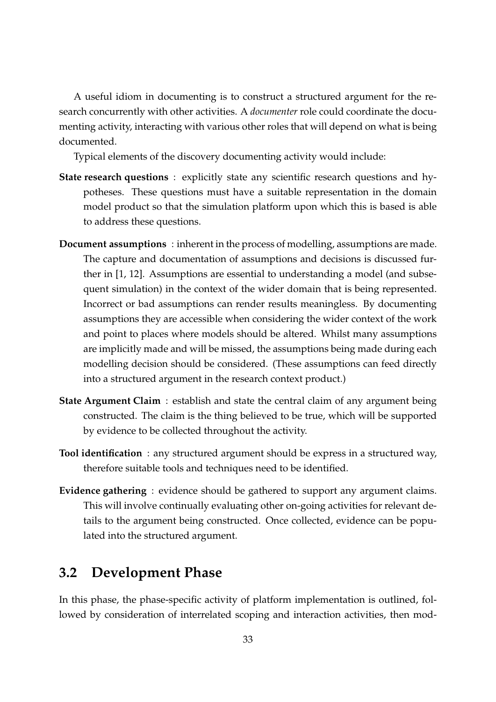A useful idiom in documenting is to construct a structured argument for the research concurrently with other activities. A *documenter* role could coordinate the documenting activity, interacting with various other roles that will depend on what is being documented.

Typical elements of the discovery documenting activity would include:

- **State research questions** : explicitly state any scientific research questions and hypotheses. These questions must have a suitable representation in the domain model product so that the simulation platform upon which this is based is able to address these questions.
- **Document assumptions** : inherent in the process of modelling, assumptions are made. The capture and documentation of assumptions and decisions is discussed further in [1, 12]. Assumptions are essential to understanding a model (and subsequent simulation) in the context of the wider domain that is being represented. Incorrect or bad assumptions can render results meaningless. By documenting assumptions they are accessible when considering the wider context of the work and point to places where models should be altered. Whilst many assumptions are implicitly made and will be missed, the assumptions being made during each modelling decision should be considered. (These assumptions can feed directly into a structured argument in the research context product.)
- **State Argument Claim** : establish and state the central claim of any argument being constructed. The claim is the thing believed to be true, which will be supported by evidence to be collected throughout the activity.
- **Tool identification** : any structured argument should be express in a structured way, therefore suitable tools and techniques need to be identified.
- **Evidence gathering** : evidence should be gathered to support any argument claims. This will involve continually evaluating other on-going activities for relevant details to the argument being constructed. Once collected, evidence can be populated into the structured argument.

# **3.2 Development Phase**

In this phase, the phase-specific activity of platform implementation is outlined, followed by consideration of interrelated scoping and interaction activities, then mod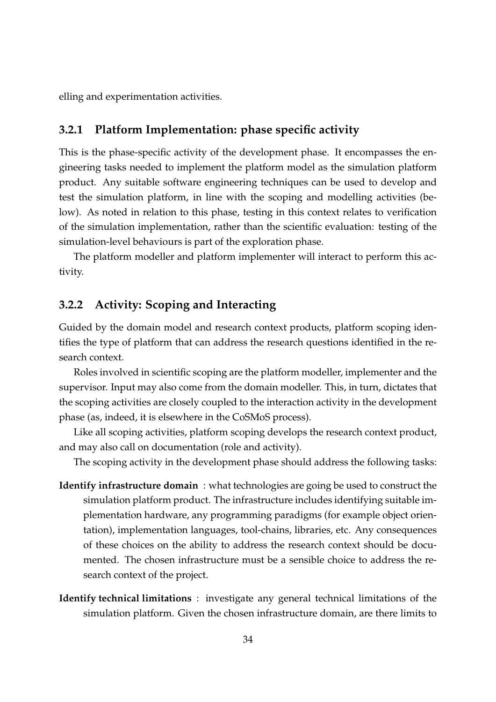elling and experimentation activities.

#### **3.2.1 Platform Implementation: phase specific activity**

This is the phase-specific activity of the development phase. It encompasses the engineering tasks needed to implement the platform model as the simulation platform product. Any suitable software engineering techniques can be used to develop and test the simulation platform, in line with the scoping and modelling activities (below). As noted in relation to this phase, testing in this context relates to verification of the simulation implementation, rather than the scientific evaluation: testing of the simulation-level behaviours is part of the exploration phase.

The platform modeller and platform implementer will interact to perform this activity.

#### **3.2.2 Activity: Scoping and Interacting**

Guided by the domain model and research context products, platform scoping identifies the type of platform that can address the research questions identified in the research context.

Roles involved in scientific scoping are the platform modeller, implementer and the supervisor. Input may also come from the domain modeller. This, in turn, dictates that the scoping activities are closely coupled to the interaction activity in the development phase (as, indeed, it is elsewhere in the CoSMoS process).

Like all scoping activities, platform scoping develops the research context product, and may also call on documentation (role and activity).

The scoping activity in the development phase should address the following tasks:

- **Identify infrastructure domain** : what technologies are going be used to construct the simulation platform product. The infrastructure includes identifying suitable implementation hardware, any programming paradigms (for example object orientation), implementation languages, tool-chains, libraries, etc. Any consequences of these choices on the ability to address the research context should be documented. The chosen infrastructure must be a sensible choice to address the research context of the project.
- **Identify technical limitations** : investigate any general technical limitations of the simulation platform. Given the chosen infrastructure domain, are there limits to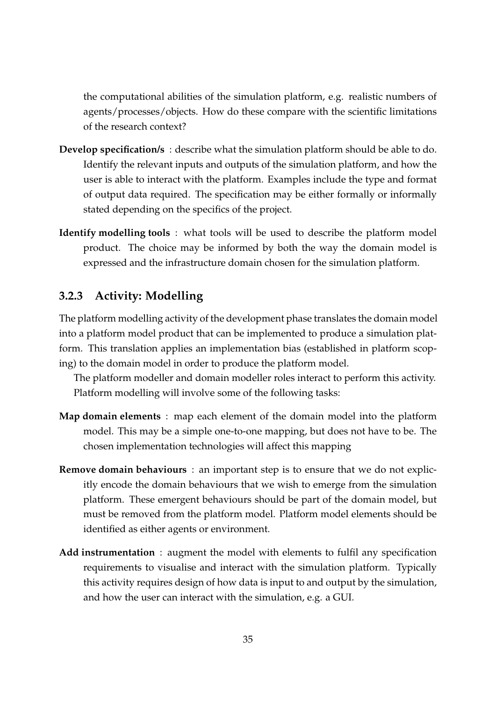the computational abilities of the simulation platform, e.g. realistic numbers of agents/processes/objects. How do these compare with the scientific limitations of the research context?

- **Develop specification/s** : describe what the simulation platform should be able to do. Identify the relevant inputs and outputs of the simulation platform, and how the user is able to interact with the platform. Examples include the type and format of output data required. The specification may be either formally or informally stated depending on the specifics of the project.
- **Identify modelling tools** : what tools will be used to describe the platform model product. The choice may be informed by both the way the domain model is expressed and the infrastructure domain chosen for the simulation platform.

### **3.2.3 Activity: Modelling**

The platform modelling activity of the development phase translates the domain model into a platform model product that can be implemented to produce a simulation platform. This translation applies an implementation bias (established in platform scoping) to the domain model in order to produce the platform model.

The platform modeller and domain modeller roles interact to perform this activity. Platform modelling will involve some of the following tasks:

- **Map domain elements** : map each element of the domain model into the platform model. This may be a simple one-to-one mapping, but does not have to be. The chosen implementation technologies will affect this mapping
- **Remove domain behaviours** : an important step is to ensure that we do not explicitly encode the domain behaviours that we wish to emerge from the simulation platform. These emergent behaviours should be part of the domain model, but must be removed from the platform model. Platform model elements should be identified as either agents or environment.
- **Add instrumentation** : augment the model with elements to fulfil any specification requirements to visualise and interact with the simulation platform. Typically this activity requires design of how data is input to and output by the simulation, and how the user can interact with the simulation, e.g. a GUI.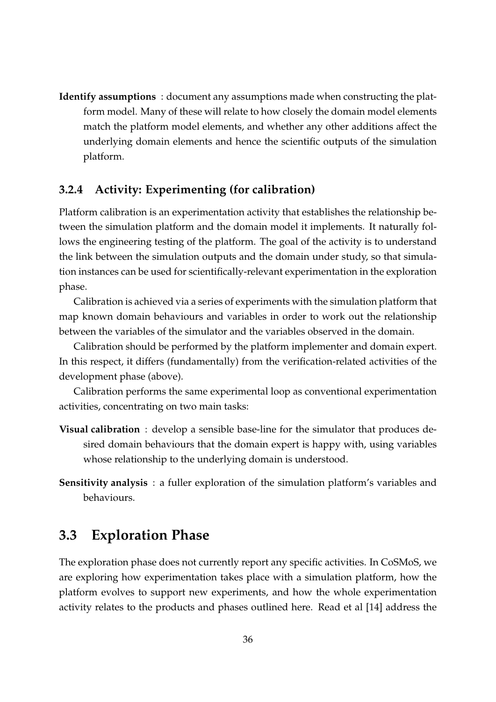**Identify assumptions** : document any assumptions made when constructing the platform model. Many of these will relate to how closely the domain model elements match the platform model elements, and whether any other additions affect the underlying domain elements and hence the scientific outputs of the simulation platform.

#### **3.2.4 Activity: Experimenting (for calibration)**

Platform calibration is an experimentation activity that establishes the relationship between the simulation platform and the domain model it implements. It naturally follows the engineering testing of the platform. The goal of the activity is to understand the link between the simulation outputs and the domain under study, so that simulation instances can be used for scientifically-relevant experimentation in the exploration phase.

Calibration is achieved via a series of experiments with the simulation platform that map known domain behaviours and variables in order to work out the relationship between the variables of the simulator and the variables observed in the domain.

Calibration should be performed by the platform implementer and domain expert. In this respect, it differs (fundamentally) from the verification-related activities of the development phase (above).

Calibration performs the same experimental loop as conventional experimentation activities, concentrating on two main tasks:

- **Visual calibration** : develop a sensible base-line for the simulator that produces desired domain behaviours that the domain expert is happy with, using variables whose relationship to the underlying domain is understood.
- **Sensitivity analysis** : a fuller exploration of the simulation platform's variables and behaviours.

### **3.3 Exploration Phase**

The exploration phase does not currently report any specific activities. In CoSMoS, we are exploring how experimentation takes place with a simulation platform, how the platform evolves to support new experiments, and how the whole experimentation activity relates to the products and phases outlined here. Read et al [14] address the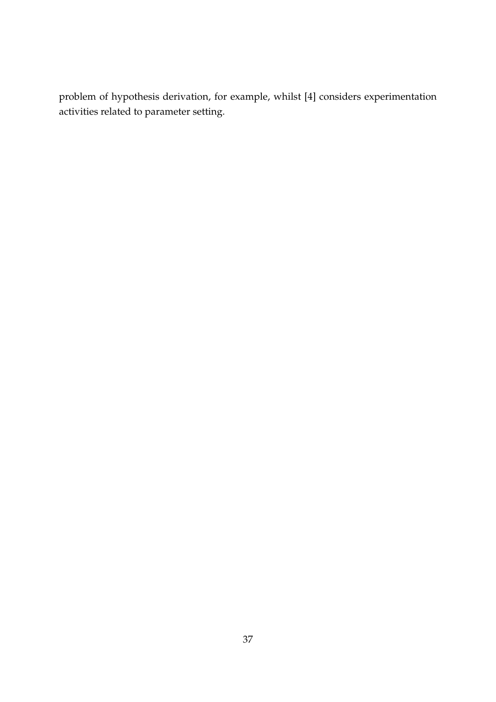problem of hypothesis derivation, for example, whilst [4] considers experimentation activities related to parameter setting.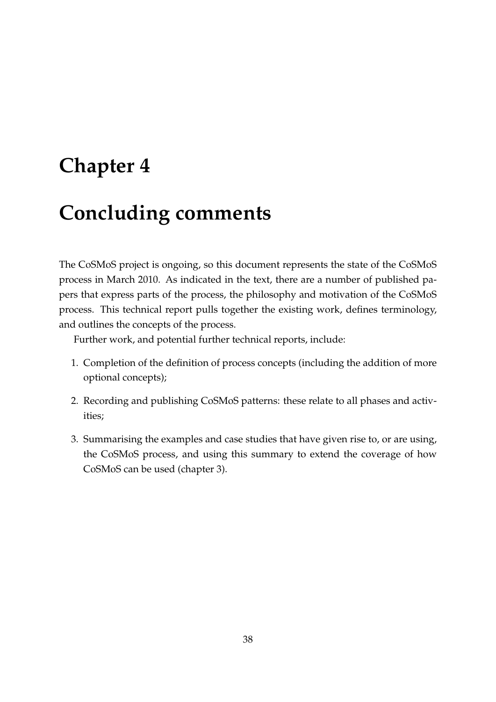# **Chapter 4**

# **Concluding comments**

The CoSMoS project is ongoing, so this document represents the state of the CoSMoS process in March 2010. As indicated in the text, there are a number of published papers that express parts of the process, the philosophy and motivation of the CoSMoS process. This technical report pulls together the existing work, defines terminology, and outlines the concepts of the process.

Further work, and potential further technical reports, include:

- 1. Completion of the definition of process concepts (including the addition of more optional concepts);
- 2. Recording and publishing CoSMoS patterns: these relate to all phases and activities;
- 3. Summarising the examples and case studies that have given rise to, or are using, the CoSMoS process, and using this summary to extend the coverage of how CoSMoS can be used (chapter 3).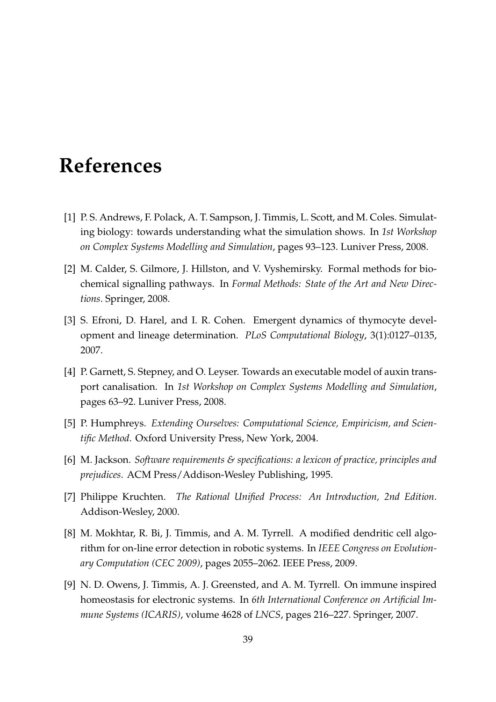# **References**

- [1] P. S. Andrews, F. Polack, A. T. Sampson, J. Timmis, L. Scott, and M. Coles. Simulating biology: towards understanding what the simulation shows. In *1st Workshop on Complex Systems Modelling and Simulation*, pages 93–123. Luniver Press, 2008.
- [2] M. Calder, S. Gilmore, J. Hillston, and V. Vyshemirsky. Formal methods for biochemical signalling pathways. In *Formal Methods: State of the Art and New Directions*. Springer, 2008.
- [3] S. Efroni, D. Harel, and I. R. Cohen. Emergent dynamics of thymocyte development and lineage determination. *PLoS Computational Biology*, 3(1):0127–0135, 2007.
- [4] P. Garnett, S. Stepney, and O. Leyser. Towards an executable model of auxin transport canalisation. In *1st Workshop on Complex Systems Modelling and Simulation*, pages 63–92. Luniver Press, 2008.
- [5] P. Humphreys. *Extending Ourselves: Computational Science, Empiricism, and Scientific Method*. Oxford University Press, New York, 2004.
- [6] M. Jackson. *Software requirements & specifications: a lexicon of practice, principles and prejudices*. ACM Press/Addison-Wesley Publishing, 1995.
- [7] Philippe Kruchten. *The Rational Unified Process: An Introduction, 2nd Edition*. Addison-Wesley, 2000.
- [8] M. Mokhtar, R. Bi, J. Timmis, and A. M. Tyrrell. A modified dendritic cell algorithm for on-line error detection in robotic systems. In *IEEE Congress on Evolutionary Computation (CEC 2009)*, pages 2055–2062. IEEE Press, 2009.
- [9] N. D. Owens, J. Timmis, A. J. Greensted, and A. M. Tyrrell. On immune inspired homeostasis for electronic systems. In *6th International Conference on Artificial Immune Systems (ICARIS)*, volume 4628 of *LNCS*, pages 216–227. Springer, 2007.